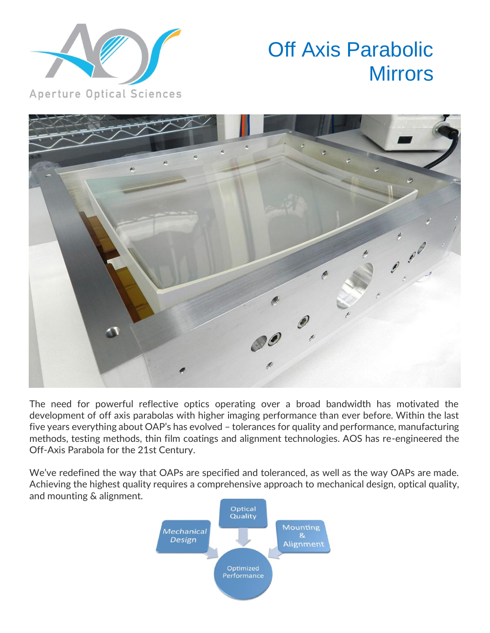

## Off Axis Parabolic **Mirrors**



The need for powerful reflective optics operating over a broad bandwidth has motivated the development of off axis parabolas with higher imaging performance than ever before. Within the last five years everything about OAP's has evolved – tolerances for quality and performance, manufacturing methods, testing methods, thin film coatings and alignment technologies. AOS has re-engineered the Off-Axis Parabola for the 21st Century.

We've redefined the way that OAPs are specified and toleranced, as well as the way OAPs are made. Achieving the highest quality requires a comprehensive approach to mechanical design, optical quality, and mounting & alignment.